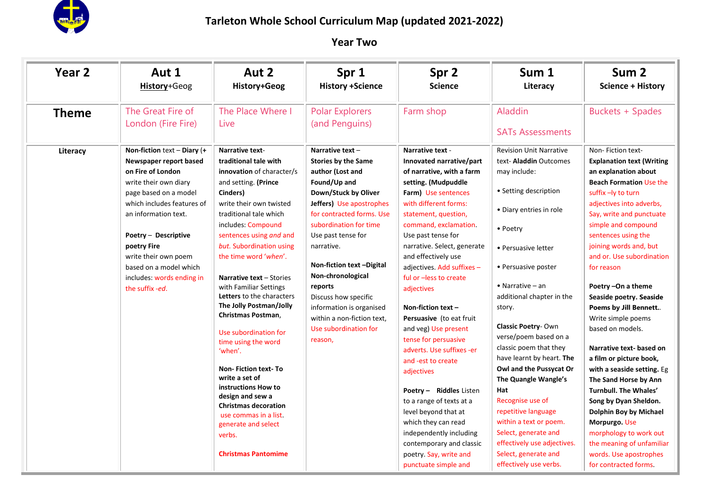

i.

| Year <sub>2</sub> | Aut 1<br>History+Geog                                                                                                                                                                                                                                                                                                         | Aut 2<br>History+Geog                                                                                                                                                                                                                                                                                                                                                                                                                                                                                                                                                                                                                                                                        | Spr 1<br><b>History +Science</b>                                                                                                                                                                                                                                                                                                                                                                                     | Spr 2<br><b>Science</b>                                                                                                                                                                                                                                                                                                                                                                                                                                                                                                                                                                                                                                                                                                                 | Sum 1<br>Literacy                                                                                                                                                                                                                                                                                                                                                                                                                                                                                                                                                                                               | Sum <sub>2</sub><br><b>Science + History</b>                                                                                                                                                                                                                                                                                                                                                                                                                                                                                                                                                                                                                                                                                                              |
|-------------------|-------------------------------------------------------------------------------------------------------------------------------------------------------------------------------------------------------------------------------------------------------------------------------------------------------------------------------|----------------------------------------------------------------------------------------------------------------------------------------------------------------------------------------------------------------------------------------------------------------------------------------------------------------------------------------------------------------------------------------------------------------------------------------------------------------------------------------------------------------------------------------------------------------------------------------------------------------------------------------------------------------------------------------------|----------------------------------------------------------------------------------------------------------------------------------------------------------------------------------------------------------------------------------------------------------------------------------------------------------------------------------------------------------------------------------------------------------------------|-----------------------------------------------------------------------------------------------------------------------------------------------------------------------------------------------------------------------------------------------------------------------------------------------------------------------------------------------------------------------------------------------------------------------------------------------------------------------------------------------------------------------------------------------------------------------------------------------------------------------------------------------------------------------------------------------------------------------------------------|-----------------------------------------------------------------------------------------------------------------------------------------------------------------------------------------------------------------------------------------------------------------------------------------------------------------------------------------------------------------------------------------------------------------------------------------------------------------------------------------------------------------------------------------------------------------------------------------------------------------|-----------------------------------------------------------------------------------------------------------------------------------------------------------------------------------------------------------------------------------------------------------------------------------------------------------------------------------------------------------------------------------------------------------------------------------------------------------------------------------------------------------------------------------------------------------------------------------------------------------------------------------------------------------------------------------------------------------------------------------------------------------|
| <b>Theme</b>      | The Great Fire of<br>London (Fire Fire)                                                                                                                                                                                                                                                                                       | The Place Where I<br>Live                                                                                                                                                                                                                                                                                                                                                                                                                                                                                                                                                                                                                                                                    | <b>Polar Explorers</b><br>(and Penguins)                                                                                                                                                                                                                                                                                                                                                                             | Farm shop                                                                                                                                                                                                                                                                                                                                                                                                                                                                                                                                                                                                                                                                                                                               | Aladdin<br><b>SATs Assessments</b>                                                                                                                                                                                                                                                                                                                                                                                                                                                                                                                                                                              | <b>Buckets + Spades</b>                                                                                                                                                                                                                                                                                                                                                                                                                                                                                                                                                                                                                                                                                                                                   |
| Literacy          | Non-fiction text $-$ Diary (+<br>Newspaper report based<br>on Fire of London<br>write their own diary<br>page based on a model<br>which includes features of<br>an information text.<br>Poetry - Descriptive<br>poetry Fire<br>write their own poem<br>based on a model which<br>includes: words ending in<br>the suffix -ed. | <b>Narrative text-</b><br>traditional tale with<br>innovation of character/s<br>and setting. (Prince<br>Cinders)<br>write their own twisted<br>traditional tale which<br>includes: Compound<br>sentences using and and<br>but. Subordination using<br>the time word 'when'.<br>Narrative text - Stories<br>with Familiar Settings<br>Letters to the characters<br>The Jolly Postman/Jolly<br>Christmas Postman,<br>Use subordination for<br>time using the word<br>'when'.<br><b>Non-Fiction text-To</b><br>write a set of<br>instructions How to<br>design and sew a<br><b>Christmas decoration</b><br>use commas in a list.<br>generate and select<br>verbs.<br><b>Christmas Pantomime</b> | Narrative text -<br><b>Stories by the Same</b><br>author (Lost and<br>Found/Up and<br>Down/Stuck by Oliver<br>Jeffers) Use apostrophes<br>for contracted forms. Use<br>subordination for time<br>Use past tense for<br>narrative.<br>Non-fiction text -Digital<br>Non-chronological<br>reports<br>Discuss how specific<br>information is organised<br>within a non-fiction text,<br>Use subordination for<br>reason, | Narrative text -<br>Innovated narrative/part<br>of narrative, with a farm<br>setting. (Mudpuddle<br>Farm) Use sentences<br>with different forms:<br>statement, question,<br>command, exclamation.<br>Use past tense for<br>narrative. Select, generate<br>and effectively use<br>adjectives. Add suffixes -<br>ful or -less to create<br>adjectives<br>Non-fiction text $-$<br>Persuasive (to eat fruit<br>and veg) Use present<br>tense for persuasive<br>adverts. Use suffixes -er<br>and -est to create<br>adjectives<br>Poetry - Riddles Listen<br>to a range of texts at a<br>level beyond that at<br>which they can read<br>independently including<br>contemporary and classic<br>poetry. Say, write and<br>punctuate simple and | <b>Revision Unit Narrative</b><br>text- <b>Aladdin</b> Outcomes<br>may include:<br>• Setting description<br>· Diary entries in role<br>• Poetry<br>• Persuasive letter<br>• Persuasive poster<br>• Narrative $-$ an<br>additional chapter in the<br>story.<br><b>Classic Poetry-Own</b><br>verse/poem based on a<br>classic poem that they<br>have learnt by heart. The<br>Owl and the Pussycat Or<br>The Quangle Wangle's<br>Hat<br>Recognise use of<br>repetitive language<br>within a text or poem.<br>Select, generate and<br>effectively use adjectives.<br>Select, generate and<br>effectively use verbs. | Non-Fiction text-<br><b>Explanation text (Writing)</b><br>an explanation about<br><b>Beach Formation Use the</b><br>suffix -ly to turn<br>adjectives into adverbs,<br>Say, write and punctuate<br>simple and compound<br>sentences using the<br>joining words and, but<br>and or. Use subordination<br>for reason<br>Poetry -On a theme<br>Seaside poetry. Seaside<br>Poems by Jill Bennett<br>Write simple poems<br>based on models.<br>Narrative text-based on<br>a film or picture book,<br>with a seaside setting. Eg<br>The Sand Horse by Ann<br>Turnbull. The Whales'<br>Song by Dyan Sheldon.<br>Dolphin Boy by Michael<br>Morpurgo. Use<br>morphology to work out<br>the meaning of unfamiliar<br>words. Use apostrophes<br>for contracted forms. |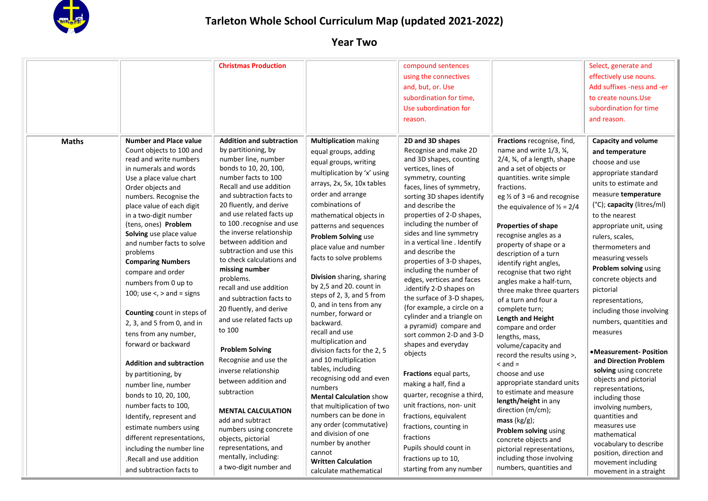

| <b>Maths</b> | <b>Number and Place value</b>                                                                                                                                                                                                                                                                                                                                                                                                                                                                                                                                                                                                                                                                                                                                                                                                                | <b>Christmas Production</b><br><b>Addition and subtraction</b>                                                                                                                                                                                                                                                                                                                                                                                                                                                                                                                                                                                                                                                                                                                                         | <b>Multiplication making</b>                                                                                                                                                                                                                                                                                                                                                                                                                                                                                                                                                                                                                                                                                                                                                                                                          | compound sentences<br>using the connectives<br>and, but, or. Use<br>subordination for time,<br>Use subordination for<br>reason.<br>2D and 3D shapes                                                                                                                                                                                                                                                                                                                                                                                                                                                                                                                                                                                                                                                                                                                               | Fractions recognise, find,                                                                                                                                                                                                                                                                                                                                                                                                                                                                                                                                                                                                                                                                                                                                                                                                                                                                                                          | Select, generate and<br>effectively use nouns.<br>Add suffixes -ness and -er<br>to create nouns. Use<br>subordination for time<br>and reason.<br><b>Capacity and volume</b>                                                                                                                                                                                                                                                                                                                                                                                                                                                                                                                                                               |
|--------------|----------------------------------------------------------------------------------------------------------------------------------------------------------------------------------------------------------------------------------------------------------------------------------------------------------------------------------------------------------------------------------------------------------------------------------------------------------------------------------------------------------------------------------------------------------------------------------------------------------------------------------------------------------------------------------------------------------------------------------------------------------------------------------------------------------------------------------------------|--------------------------------------------------------------------------------------------------------------------------------------------------------------------------------------------------------------------------------------------------------------------------------------------------------------------------------------------------------------------------------------------------------------------------------------------------------------------------------------------------------------------------------------------------------------------------------------------------------------------------------------------------------------------------------------------------------------------------------------------------------------------------------------------------------|---------------------------------------------------------------------------------------------------------------------------------------------------------------------------------------------------------------------------------------------------------------------------------------------------------------------------------------------------------------------------------------------------------------------------------------------------------------------------------------------------------------------------------------------------------------------------------------------------------------------------------------------------------------------------------------------------------------------------------------------------------------------------------------------------------------------------------------|-----------------------------------------------------------------------------------------------------------------------------------------------------------------------------------------------------------------------------------------------------------------------------------------------------------------------------------------------------------------------------------------------------------------------------------------------------------------------------------------------------------------------------------------------------------------------------------------------------------------------------------------------------------------------------------------------------------------------------------------------------------------------------------------------------------------------------------------------------------------------------------|-------------------------------------------------------------------------------------------------------------------------------------------------------------------------------------------------------------------------------------------------------------------------------------------------------------------------------------------------------------------------------------------------------------------------------------------------------------------------------------------------------------------------------------------------------------------------------------------------------------------------------------------------------------------------------------------------------------------------------------------------------------------------------------------------------------------------------------------------------------------------------------------------------------------------------------|-------------------------------------------------------------------------------------------------------------------------------------------------------------------------------------------------------------------------------------------------------------------------------------------------------------------------------------------------------------------------------------------------------------------------------------------------------------------------------------------------------------------------------------------------------------------------------------------------------------------------------------------------------------------------------------------------------------------------------------------|
|              | Count objects to 100 and<br>read and write numbers<br>in numerals and words<br>Use a place value chart<br>Order objects and<br>numbers. Recognise the<br>place value of each digit<br>in a two-digit number<br>(tens, ones) Problem<br>Solving use place value<br>and number facts to solve<br>problems<br><b>Comparing Numbers</b><br>compare and order<br>numbers from 0 up to<br>100; use $\lt$ , $>$ and = signs<br>Counting count in steps of<br>$2, 3,$ and 5 from 0, and in<br>tens from any number,<br>forward or backward<br><b>Addition and subtraction</b><br>by partitioning, by<br>number line, number<br>bonds to 10, 20, 100,<br>number facts to 100,<br>Identify, represent and<br>estimate numbers using<br>different representations,<br>including the number line<br>.Recall and use addition<br>and subtraction facts to | by partitioning, by<br>number line, number<br>bonds to 10, 20, 100,<br>number facts to 100<br>Recall and use addition<br>and subtraction facts to<br>20 fluently, and derive<br>and use related facts up<br>to 100 .recognise and use<br>the inverse relationship<br>between addition and<br>subtraction and use this<br>to check calculations and<br>missing number<br>problems.<br>recall and use addition<br>and subtraction facts to<br>20 fluently, and derive<br>and use related facts up<br>to 100<br><b>Problem Solving</b><br>Recognise and use the<br>inverse relationship<br>between addition and<br>subtraction<br><b>MENTAL CALCULATION</b><br>add and subtract<br>numbers using concrete<br>objects, pictorial<br>representations, and<br>mentally, including:<br>a two-digit number and | equal groups, adding<br>equal groups, writing<br>multiplication by 'x' using<br>arrays, 2x, 5x, 10x tables<br>order and arrange<br>combinations of<br>mathematical objects in<br>patterns and sequences<br>Problem Solving use<br>place value and number<br>facts to solve problems<br>Division sharing, sharing<br>by 2,5 and 20. count in<br>steps of 2, 3, and 5 from<br>0, and in tens from any<br>number, forward or<br>backward.<br>recall and use<br>multiplication and<br>division facts for the 2, 5<br>and 10 multiplication<br>tables, including<br>recognising odd and even<br>numbers<br><b>Mental Calculation show</b><br>that multiplication of two<br>numbers can be done in<br>any order (commutative)<br>and division of one<br>number by another<br>cannot<br><b>Written Calculation</b><br>calculate mathematical | Recognise and make 2D<br>and 3D shapes, counting<br>vertices, lines of<br>symmetry, counting<br>faces, lines of symmetry,<br>sorting 3D shapes identify<br>and describe the<br>properties of 2-D shapes,<br>including the number of<br>sides and line symmetry<br>in a vertical line . Identify<br>and describe the<br>properties of 3-D shapes,<br>including the number of<br>edges, vertices and faces<br>.identify 2-D shapes on<br>the surface of 3-D shapes,<br>(for example, a circle on a<br>cylinder and a triangle on<br>a pyramid) compare and<br>sort common 2-D and 3-D<br>shapes and everyday<br>objects<br>Fractions equal parts,<br>making a half, find a<br>quarter, recognise a third,<br>unit fractions, non- unit<br>fractions, equivalent<br>fractions, counting in<br>fractions<br>Pupils should count in<br>fractions up to 10,<br>starting from any number | name and write $1/3$ , $\frac{1}{4}$ ,<br>$2/4$ , $\frac{3}{4}$ , of a length, shape<br>and a set of objects or<br>quantities. write simple<br>fractions.<br>eg $\frac{1}{2}$ of 3 =6 and recognise<br>the equivalence of $\frac{1}{2}$ = 2/4<br>Properties of shape<br>recognise angles as a<br>property of shape or a<br>description of a turn<br>identify right angles,<br>recognise that two right<br>angles make a half-turn,<br>three make three quarters<br>of a turn and four a<br>complete turn;<br><b>Length and Height</b><br>compare and order<br>lengths, mass,<br>volume/capacity and<br>record the results using >,<br>$<$ and $=$<br>choose and use<br>appropriate standard units<br>to estimate and measure<br>length/height in any<br>direction (m/cm);<br>mass $(kg/g)$ ;<br>Problem solving using<br>concrete objects and<br>pictorial representations,<br>including those involving<br>numbers, quantities and | and temperature<br>choose and use<br>appropriate standard<br>units to estimate and<br>measure temperature<br>$(^{\circ}C)$ ; capacity (litres/ml)<br>to the nearest<br>appropriate unit, using<br>rulers, scales,<br>thermometers and<br>measuring vessels<br>Problem solving using<br>concrete objects and<br>pictorial<br>representations,<br>including those involving<br>numbers, quantities and<br>measures<br>•Measurement-Position<br>and Direction Problem<br>solving using concrete<br>objects and pictorial<br>representations,<br>including those<br>involving numbers,<br>quantities and<br>measures use<br>mathematical<br>vocabulary to describe<br>position, direction and<br>movement including<br>movement in a straight |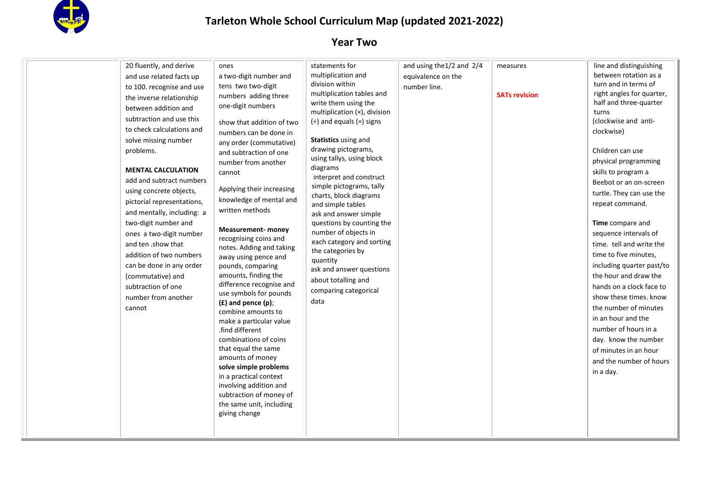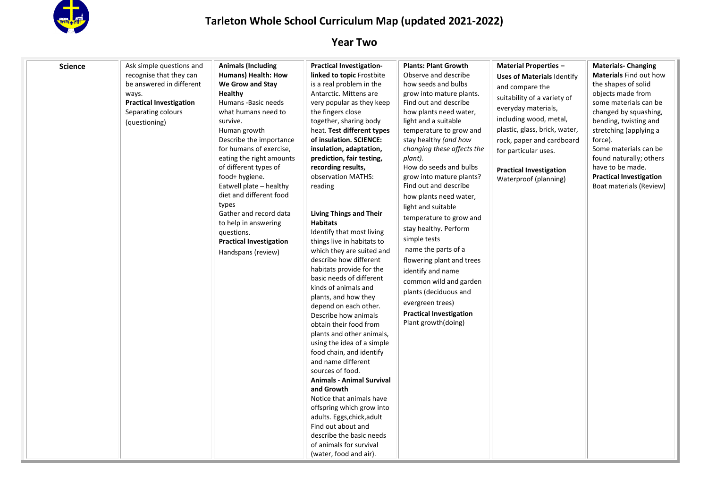

| <b>Science</b> | Ask simple questions and<br>recognise that they can<br>be answered in different<br>ways.<br><b>Practical Investigation</b><br>Separating colours<br>(questioning) | <b>Animals (Including</b><br>Humans) Health: How<br>We Grow and Stay<br><b>Healthy</b><br>Humans - Basic needs<br>what humans need to<br>survive.<br>Human growth<br>Describe the importance<br>for humans of exercise,<br>eating the right amounts<br>of different types of<br>food+ hygiene.<br>Eatwell plate - healthy<br>diet and different food<br>types<br>Gather and record data<br>to help in answering<br>questions.<br><b>Practical Investigation</b><br>Handspans (review) | <b>Practical Investigation-</b><br>linked to topic Frostbite<br>is a real problem in the<br>Antarctic. Mittens are<br>very popular as they keep<br>the fingers close<br>together, sharing body<br>heat. Test different types<br>of insulation. SCIENCE:<br>insulation, adaptation,<br>prediction, fair testing,<br>recording results,<br>observation MATHS:<br>reading<br><b>Living Things and Their</b><br><b>Habitats</b><br>Identify that most living<br>things live in habitats to<br>which they are suited and<br>describe how different<br>habitats provide for the<br>basic needs of different<br>kinds of animals and<br>plants, and how they<br>depend on each other.<br>Describe how animals<br>obtain their food from<br>plants and other animals,<br>using the idea of a simple<br>food chain, and identify<br>and name different<br>sources of food.<br><b>Animals - Animal Survival</b><br>and Growth<br>Notice that animals have<br>offspring which grow into<br>adults. Eggs, chick, adult<br>Find out about and<br>describe the basic needs<br>of animals for survival<br>(water, food and air). | <b>Plants: Plant Growth</b><br>Observe and describe<br>how seeds and bulbs<br>grow into mature plants.<br>Find out and describe<br>how plants need water,<br>light and a suitable<br>temperature to grow and<br>stay healthy (and how<br>changing these affects the<br>plant).<br>How do seeds and bulbs<br>grow into mature plants?<br>Find out and describe<br>how plants need water,<br>light and suitable<br>temperature to grow and<br>stay healthy. Perform<br>simple tests<br>name the parts of a<br>flowering plant and trees<br>identify and name<br>common wild and garden<br>plants (deciduous and<br>evergreen trees)<br><b>Practical Investigation</b><br>Plant growth(doing) | <b>Material Properties -</b><br><b>Uses of Materials Identify</b><br>and compare the<br>suitability of a variety of<br>everyday materials,<br>including wood, metal,<br>plastic, glass, brick, water,<br>rock, paper and cardboard<br>for particular uses.<br><b>Practical Investigation</b><br>Waterproof (planning) | <b>Materials-Changing</b><br><b>Materials Find out how</b><br>the shapes of solid<br>objects made from<br>some materials can be<br>changed by squashing,<br>bending, twisting and<br>stretching (applying a<br>force).<br>Some materials can be<br>found naturally; others<br>have to be made.<br><b>Practical Investigation</b><br>Boat materials (Review) |
|----------------|-------------------------------------------------------------------------------------------------------------------------------------------------------------------|---------------------------------------------------------------------------------------------------------------------------------------------------------------------------------------------------------------------------------------------------------------------------------------------------------------------------------------------------------------------------------------------------------------------------------------------------------------------------------------|-------------------------------------------------------------------------------------------------------------------------------------------------------------------------------------------------------------------------------------------------------------------------------------------------------------------------------------------------------------------------------------------------------------------------------------------------------------------------------------------------------------------------------------------------------------------------------------------------------------------------------------------------------------------------------------------------------------------------------------------------------------------------------------------------------------------------------------------------------------------------------------------------------------------------------------------------------------------------------------------------------------------------------------------------------------------------------------------------------------------|--------------------------------------------------------------------------------------------------------------------------------------------------------------------------------------------------------------------------------------------------------------------------------------------------------------------------------------------------------------------------------------------------------------------------------------------------------------------------------------------------------------------------------------------------------------------------------------------------------------------------------------------------------------------------------------------|-----------------------------------------------------------------------------------------------------------------------------------------------------------------------------------------------------------------------------------------------------------------------------------------------------------------------|-------------------------------------------------------------------------------------------------------------------------------------------------------------------------------------------------------------------------------------------------------------------------------------------------------------------------------------------------------------|
|----------------|-------------------------------------------------------------------------------------------------------------------------------------------------------------------|---------------------------------------------------------------------------------------------------------------------------------------------------------------------------------------------------------------------------------------------------------------------------------------------------------------------------------------------------------------------------------------------------------------------------------------------------------------------------------------|-------------------------------------------------------------------------------------------------------------------------------------------------------------------------------------------------------------------------------------------------------------------------------------------------------------------------------------------------------------------------------------------------------------------------------------------------------------------------------------------------------------------------------------------------------------------------------------------------------------------------------------------------------------------------------------------------------------------------------------------------------------------------------------------------------------------------------------------------------------------------------------------------------------------------------------------------------------------------------------------------------------------------------------------------------------------------------------------------------------------|--------------------------------------------------------------------------------------------------------------------------------------------------------------------------------------------------------------------------------------------------------------------------------------------------------------------------------------------------------------------------------------------------------------------------------------------------------------------------------------------------------------------------------------------------------------------------------------------------------------------------------------------------------------------------------------------|-----------------------------------------------------------------------------------------------------------------------------------------------------------------------------------------------------------------------------------------------------------------------------------------------------------------------|-------------------------------------------------------------------------------------------------------------------------------------------------------------------------------------------------------------------------------------------------------------------------------------------------------------------------------------------------------------|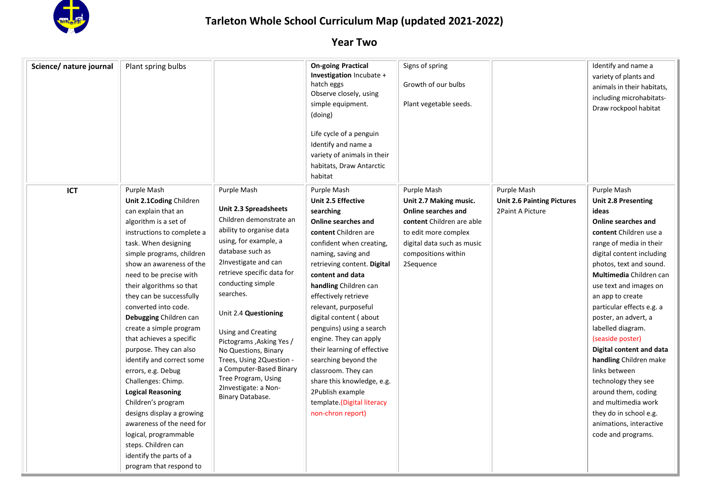

| Science/ nature journal | Plant spring bulbs                                                                                                                                                                                                                                                                                                                                                                                                                                                                                                                                                                                                                                                                                                      |                                                                                                                                                                                                                                                                                                                                                                                                                                                               | <b>On-going Practical</b><br><b>Investigation</b> Incubate +<br>hatch eggs<br>Observe closely, using<br>simple equipment.<br>(doing)<br>Life cycle of a penguin<br>Identify and name a<br>variety of animals in their<br>habitats, Draw Antarctic<br>habitat                                                                                                                                                                                                                                                                                   | Signs of spring<br>Growth of our bulbs<br>Plant vegetable seeds.                                                                                                                    |                                                                      | Identify and name a<br>variety of plants and<br>animals in their habitats,<br>including microhabitats-<br>Draw rockpool habitat                                                                                                                                                                                                                                                                                                                                                                                                                                                      |
|-------------------------|-------------------------------------------------------------------------------------------------------------------------------------------------------------------------------------------------------------------------------------------------------------------------------------------------------------------------------------------------------------------------------------------------------------------------------------------------------------------------------------------------------------------------------------------------------------------------------------------------------------------------------------------------------------------------------------------------------------------------|---------------------------------------------------------------------------------------------------------------------------------------------------------------------------------------------------------------------------------------------------------------------------------------------------------------------------------------------------------------------------------------------------------------------------------------------------------------|------------------------------------------------------------------------------------------------------------------------------------------------------------------------------------------------------------------------------------------------------------------------------------------------------------------------------------------------------------------------------------------------------------------------------------------------------------------------------------------------------------------------------------------------|-------------------------------------------------------------------------------------------------------------------------------------------------------------------------------------|----------------------------------------------------------------------|--------------------------------------------------------------------------------------------------------------------------------------------------------------------------------------------------------------------------------------------------------------------------------------------------------------------------------------------------------------------------------------------------------------------------------------------------------------------------------------------------------------------------------------------------------------------------------------|
| <b>ICT</b>              | Purple Mash<br>Unit 2.1 Coding Children<br>can explain that an<br>algorithm is a set of<br>instructions to complete a<br>task. When designing<br>simple programs, children<br>show an awareness of the<br>need to be precise with<br>their algorithms so that<br>they can be successfully<br>converted into code.<br>Debugging Children can<br>create a simple program<br>that achieves a specific<br>purpose. They can also<br>identify and correct some<br>errors, e.g. Debug<br>Challenges: Chimp.<br><b>Logical Reasoning</b><br>Children's program<br>designs display a growing<br>awareness of the need for<br>logical, programmable<br>steps. Children can<br>identify the parts of a<br>program that respond to | Purple Mash<br>Unit 2.3 Spreadsheets<br>Children demonstrate an<br>ability to organise data<br>using, for example, a<br>database such as<br>2Investigate and can<br>retrieve specific data for<br>conducting simple<br>searches.<br>Unit 2.4 Questioning<br>Using and Creating<br>Pictograms , Asking Yes /<br>No Questions, Binary<br>Trees, Using 2Question -<br>a Computer-Based Binary<br>Tree Program, Using<br>2Investigate: a Non-<br>Binary Database. | Purple Mash<br>Unit 2.5 Effective<br>searching<br>Online searches and<br>content Children are<br>confident when creating,<br>naming, saving and<br>retrieving content. Digital<br>content and data<br>handling Children can<br>effectively retrieve<br>relevant, purposeful<br>digital content (about<br>penguins) using a search<br>engine. They can apply<br>their learning of effective<br>searching beyond the<br>classroom. They can<br>share this knowledge, e.g.<br>2Publish example<br>template.(Digital literacy<br>non-chron report) | Purple Mash<br>Unit 2.7 Making music.<br>Online searches and<br>content Children are able<br>to edit more complex<br>digital data such as music<br>compositions within<br>2Sequence | Purple Mash<br><b>Unit 2.6 Painting Pictures</b><br>2Paint A Picture | Purple Mash<br><b>Unit 2.8 Presenting</b><br>ideas<br>Online searches and<br>content Children use a<br>range of media in their<br>digital content including<br>photos, text and sound.<br>Multimedia Children can<br>use text and images on<br>an app to create<br>particular effects e.g. a<br>poster, an advert, a<br>labelled diagram.<br>(seaside poster)<br>Digital content and data<br>handling Children make<br>links between<br>technology they see<br>around them, coding<br>and multimedia work<br>they do in school e.g.<br>animations, interactive<br>code and programs. |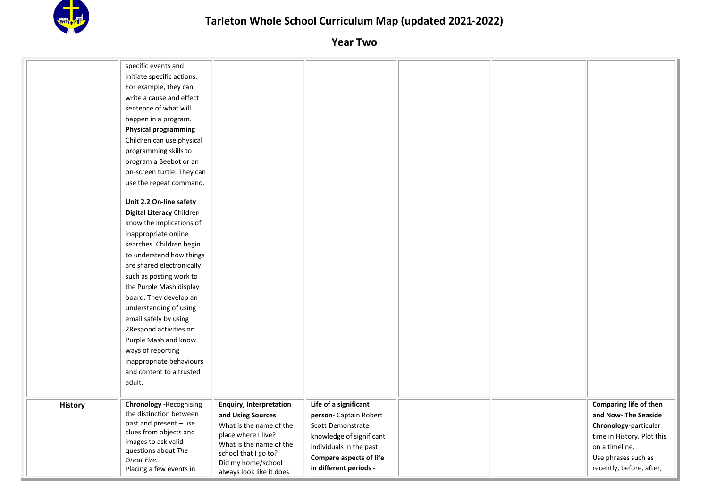

|                | specific events and                                       |                                                |                                |  |                            |
|----------------|-----------------------------------------------------------|------------------------------------------------|--------------------------------|--|----------------------------|
|                | initiate specific actions.                                |                                                |                                |  |                            |
|                | For example, they can                                     |                                                |                                |  |                            |
|                | write a cause and effect                                  |                                                |                                |  |                            |
|                | sentence of what will                                     |                                                |                                |  |                            |
|                | happen in a program.                                      |                                                |                                |  |                            |
|                | <b>Physical programming</b>                               |                                                |                                |  |                            |
|                | Children can use physical                                 |                                                |                                |  |                            |
|                | programming skills to                                     |                                                |                                |  |                            |
|                | program a Beebot or an                                    |                                                |                                |  |                            |
|                | on-screen turtle. They can                                |                                                |                                |  |                            |
|                | use the repeat command.                                   |                                                |                                |  |                            |
|                |                                                           |                                                |                                |  |                            |
|                | Unit 2.2 On-line safety                                   |                                                |                                |  |                            |
|                | Digital Literacy Children                                 |                                                |                                |  |                            |
|                | know the implications of                                  |                                                |                                |  |                            |
|                | inappropriate online                                      |                                                |                                |  |                            |
|                | searches. Children begin                                  |                                                |                                |  |                            |
|                | to understand how things                                  |                                                |                                |  |                            |
|                | are shared electronically                                 |                                                |                                |  |                            |
|                | such as posting work to                                   |                                                |                                |  |                            |
|                | the Purple Mash display                                   |                                                |                                |  |                            |
|                | board. They develop an                                    |                                                |                                |  |                            |
|                | understanding of using                                    |                                                |                                |  |                            |
|                | email safely by using                                     |                                                |                                |  |                            |
|                | 2Respond activities on                                    |                                                |                                |  |                            |
|                | Purple Mash and know                                      |                                                |                                |  |                            |
|                | ways of reporting                                         |                                                |                                |  |                            |
|                | inappropriate behaviours                                  |                                                |                                |  |                            |
|                | and content to a trusted                                  |                                                |                                |  |                            |
|                | adult.                                                    |                                                |                                |  |                            |
|                |                                                           |                                                |                                |  |                            |
| <b>History</b> | <b>Chronology -Recognising</b><br>the distinction between | <b>Enquiry, Interpretation</b>                 | Life of a significant          |  | Comparing life of then     |
|                | past and present - use                                    | and Using Sources                              | person- Captain Robert         |  | and Now- The Seaside       |
|                | clues from objects and                                    | What is the name of the<br>place where I live? | Scott Demonstrate              |  | Chronology-particular      |
|                | images to ask valid                                       | What is the name of the                        | knowledge of significant       |  | time in History. Plot this |
|                | questions about The                                       | school that I go to?                           | individuals in the past        |  | on a timeline.             |
|                | Great Fire.                                               | Did my home/school                             | <b>Compare aspects of life</b> |  | Use phrases such as        |
|                | Placing a few events in                                   | always look like it does                       | in different periods -         |  | recently, before, after,   |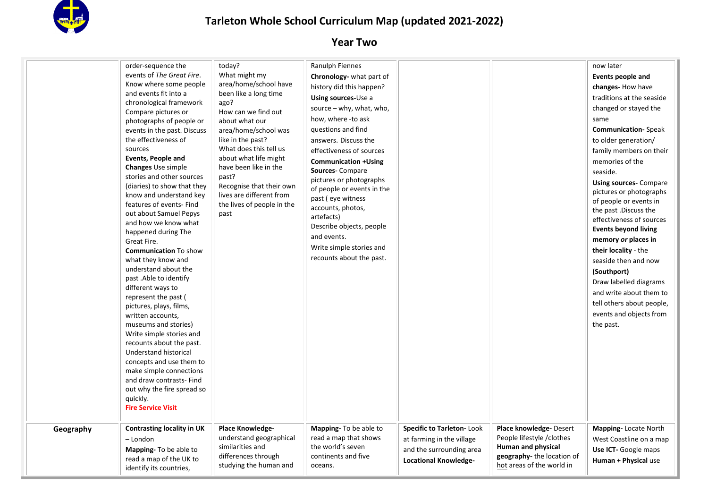

|           | order-sequence the<br>events of The Great Fire.<br>Know where some people<br>and events fit into a<br>chronological framework<br>Compare pictures or<br>photographs of people or<br>events in the past. Discuss<br>the effectiveness of<br>sources<br>Events, People and<br><b>Changes</b> Use simple<br>stories and other sources<br>(diaries) to show that they<br>know and understand key<br>features of events- Find<br>out about Samuel Pepys<br>and how we know what<br>happened during The<br>Great Fire.<br><b>Communication To show</b><br>what they know and<br>understand about the<br>past .Able to identify<br>different ways to<br>represent the past (<br>pictures, plays, films,<br>written accounts,<br>museums and stories)<br>Write simple stories and<br>recounts about the past.<br><b>Understand historical</b><br>concepts and use them to<br>make simple connections<br>and draw contrasts- Find<br>out why the fire spread so<br>quickly. | today?<br>What might my<br>area/home/school have<br>been like a long time<br>ago?<br>How can we find out<br>about what our<br>area/home/school was<br>like in the past?<br>What does this tell us<br>about what life might<br>have been like in the<br>past?<br>Recognise that their own<br>lives are different from<br>the lives of people in the<br>past | Ranulph Fiennes<br>Chronology- what part of<br>history did this happen?<br>Using sources-Use a<br>source $-$ why, what, who,<br>how, where -to ask<br>questions and find<br>answers. Discuss the<br>effectiveness of sources<br><b>Communication +Using</b><br><b>Sources-Compare</b><br>pictures or photographs<br>of people or events in the<br>past (eye witness<br>accounts, photos,<br>artefacts)<br>Describe objects, people<br>and events.<br>Write simple stories and<br>recounts about the past. |                                                                                    |                                                                            | now later<br>Events people and<br>changes-How have<br>traditions at the seaside<br>changed or stayed the<br>same<br><b>Communication-Speak</b><br>to older generation/<br>family members on their<br>memories of the<br>seaside.<br><b>Using sources-Compare</b><br>pictures or photographs<br>of people or events in<br>the past .Discuss the<br>effectiveness of sources<br><b>Events beyond living</b><br>memory or places in<br>their locality - the<br>seaside then and now<br>(Southport)<br>Draw labelled diagrams<br>and write about them to<br>tell others about people,<br>events and objects from<br>the past. |
|-----------|--------------------------------------------------------------------------------------------------------------------------------------------------------------------------------------------------------------------------------------------------------------------------------------------------------------------------------------------------------------------------------------------------------------------------------------------------------------------------------------------------------------------------------------------------------------------------------------------------------------------------------------------------------------------------------------------------------------------------------------------------------------------------------------------------------------------------------------------------------------------------------------------------------------------------------------------------------------------|------------------------------------------------------------------------------------------------------------------------------------------------------------------------------------------------------------------------------------------------------------------------------------------------------------------------------------------------------------|-----------------------------------------------------------------------------------------------------------------------------------------------------------------------------------------------------------------------------------------------------------------------------------------------------------------------------------------------------------------------------------------------------------------------------------------------------------------------------------------------------------|------------------------------------------------------------------------------------|----------------------------------------------------------------------------|---------------------------------------------------------------------------------------------------------------------------------------------------------------------------------------------------------------------------------------------------------------------------------------------------------------------------------------------------------------------------------------------------------------------------------------------------------------------------------------------------------------------------------------------------------------------------------------------------------------------------|
| Geography | <b>Fire Service Visit</b><br><b>Contrasting locality in UK</b><br>$-$ London<br><b>Mapping-To be able to</b>                                                                                                                                                                                                                                                                                                                                                                                                                                                                                                                                                                                                                                                                                                                                                                                                                                                       | <b>Place Knowledge-</b><br>understand geographical<br>similarities and                                                                                                                                                                                                                                                                                     | Mapping- To be able to<br>read a map that shows<br>the world's seven                                                                                                                                                                                                                                                                                                                                                                                                                                      | Specific to Tarleton-Look<br>at farming in the village<br>and the surrounding area | Place knowledge-Desert<br>People lifestyle / clothes<br>Human and physical | Mapping-Locate North<br>West Coastline on a map<br>Use ICT- Google maps                                                                                                                                                                                                                                                                                                                                                                                                                                                                                                                                                   |
|           | read a map of the UK to<br>identify its countries,                                                                                                                                                                                                                                                                                                                                                                                                                                                                                                                                                                                                                                                                                                                                                                                                                                                                                                                 | differences through<br>studying the human and                                                                                                                                                                                                                                                                                                              | continents and five<br>oceans.                                                                                                                                                                                                                                                                                                                                                                                                                                                                            | <b>Locational Knowledge-</b>                                                       | geography- the location of<br>hot areas of the world in                    | Human + Physical use                                                                                                                                                                                                                                                                                                                                                                                                                                                                                                                                                                                                      |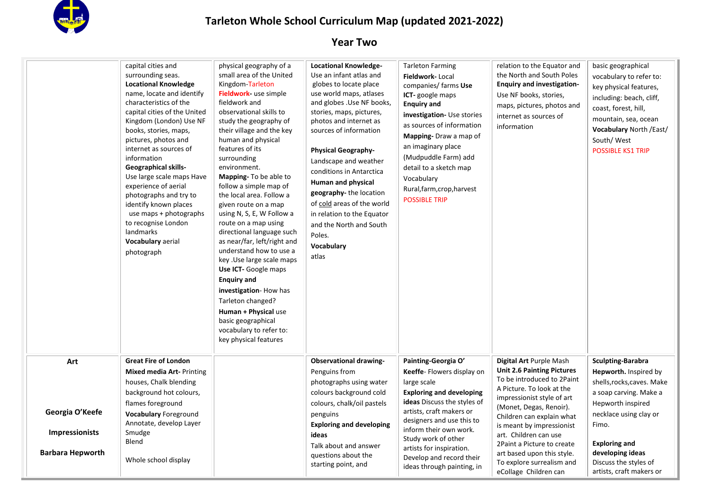

|                                   | capital cities and<br>surrounding seas.<br><b>Locational Knowledge</b><br>name, locate and identify<br>characteristics of the<br>capital cities of the United<br>Kingdom (London) Use NF<br>books, stories, maps,<br>pictures, photos and<br>internet as sources of<br>information<br><b>Geographical skills-</b><br>Use large scale maps Have<br>experience of aerial<br>photographs and try to<br>identify known places<br>use maps + photographs<br>to recognise London<br>landmarks<br>Vocabulary aerial<br>photograph | physical geography of a<br>small area of the United<br>Kingdom-Tarleton<br>Fieldwork- use simple<br>fieldwork and<br>observational skills to<br>study the geography of<br>their village and the key<br>human and physical<br>features of its<br>surrounding<br>environment.<br>Mapping- To be able to<br>follow a simple map of<br>the local area. Follow a<br>given route on a map<br>using N, S, E, W Follow a<br>route on a map using<br>directional language such<br>as near/far, left/right and<br>understand how to use a<br>key .Use large scale maps<br>Use ICT- Google maps<br><b>Enquiry and</b><br>investigation-How has<br>Tarleton changed?<br>Human + Physical use<br>basic geographical<br>vocabulary to refer to:<br>key physical features | <b>Locational Knowledge-</b><br>Use an infant atlas and<br>globes to locate place<br>use world maps, atlases<br>and globes . Use NF books,<br>stories, maps, pictures,<br>photos and internet as<br>sources of information<br><b>Physical Geography-</b><br>Landscape and weather<br>conditions in Antarctica<br>Human and physical<br>geography-the location<br>of cold areas of the world<br>in relation to the Equator<br>and the North and South<br>Poles.<br>Vocabulary<br>atlas | <b>Tarleton Farming</b><br>Fieldwork-Local<br>companies/ farms Use<br><b>ICT-</b> google maps<br><b>Enquiry and</b><br>investigation- Use stories<br>as sources of information<br>Mapping-Draw a map of<br>an imaginary place<br>(Mudpuddle Farm) add<br>detail to a sketch map<br>Vocabulary<br>Rural, farm, crop, harvest<br><b>POSSIBLE TRIP</b> | relation to the Equator and<br>the North and South Poles<br><b>Enquiry and investigation-</b><br>Use NF books, stories,<br>maps, pictures, photos and<br>internet as sources of<br>information | basic geographical<br>vocabulary to refer to:<br>key physical features,<br>including: beach, cliff,<br>coast, forest, hill,<br>mountain, sea, ocean<br><b>Vocabulary North /East/</b><br>South/West<br><b>POSSIBLE KS1 TRIP</b> |
|-----------------------------------|----------------------------------------------------------------------------------------------------------------------------------------------------------------------------------------------------------------------------------------------------------------------------------------------------------------------------------------------------------------------------------------------------------------------------------------------------------------------------------------------------------------------------|------------------------------------------------------------------------------------------------------------------------------------------------------------------------------------------------------------------------------------------------------------------------------------------------------------------------------------------------------------------------------------------------------------------------------------------------------------------------------------------------------------------------------------------------------------------------------------------------------------------------------------------------------------------------------------------------------------------------------------------------------------|---------------------------------------------------------------------------------------------------------------------------------------------------------------------------------------------------------------------------------------------------------------------------------------------------------------------------------------------------------------------------------------------------------------------------------------------------------------------------------------|-----------------------------------------------------------------------------------------------------------------------------------------------------------------------------------------------------------------------------------------------------------------------------------------------------------------------------------------------------|------------------------------------------------------------------------------------------------------------------------------------------------------------------------------------------------|---------------------------------------------------------------------------------------------------------------------------------------------------------------------------------------------------------------------------------|
| Art                               | <b>Great Fire of London</b><br><b>Mixed media Art-Printing</b><br>houses, Chalk blending<br>background hot colours,<br>flames foreground                                                                                                                                                                                                                                                                                                                                                                                   |                                                                                                                                                                                                                                                                                                                                                                                                                                                                                                                                                                                                                                                                                                                                                            | <b>Observational drawing-</b><br>Penguins from<br>photographs using water<br>colours background cold<br>colours, chalk/oil pastels                                                                                                                                                                                                                                                                                                                                                    | Painting-Georgia O'<br>Keeffe-Flowers display on<br>large scale<br><b>Exploring and developing</b><br>ideas Discuss the styles of                                                                                                                                                                                                                   | Digital Art Purple Mash<br><b>Unit 2.6 Painting Pictures</b><br>To be introduced to 2Paint<br>A Picture. To look at the<br>impressionist style of art                                          | <b>Sculpting-Barabra</b><br>Hepworth. Inspired by<br>shells, rocks, caves. Make<br>a soap carving. Make a<br>Hepworth inspired                                                                                                  |
| Georgia O'Keefe<br>Impressionists | <b>Vocabulary Foreground</b><br>Annotate, develop Layer<br>Smudge                                                                                                                                                                                                                                                                                                                                                                                                                                                          |                                                                                                                                                                                                                                                                                                                                                                                                                                                                                                                                                                                                                                                                                                                                                            | penguins<br><b>Exploring and developing</b><br>ideas                                                                                                                                                                                                                                                                                                                                                                                                                                  | artists, craft makers or<br>designers and use this to<br>inform their own work.                                                                                                                                                                                                                                                                     | (Monet, Degas, Renoir).<br>Children can explain what<br>is meant by impressionist<br>art. Children can use                                                                                     | necklace using clay or<br>Fimo.                                                                                                                                                                                                 |
| <b>Barbara Hepworth</b>           | Blend<br>Whole school display                                                                                                                                                                                                                                                                                                                                                                                                                                                                                              |                                                                                                                                                                                                                                                                                                                                                                                                                                                                                                                                                                                                                                                                                                                                                            | Talk about and answer<br>questions about the<br>starting point, and                                                                                                                                                                                                                                                                                                                                                                                                                   | Study work of other<br>artists for inspiration.<br>Develop and record their<br>ideas through painting, in                                                                                                                                                                                                                                           | 2Paint a Picture to create<br>art based upon this style.<br>To explore surrealism and<br>eCollage Children can                                                                                 | <b>Exploring and</b><br>developing ideas<br>Discuss the styles of<br>artists, craft makers or                                                                                                                                   |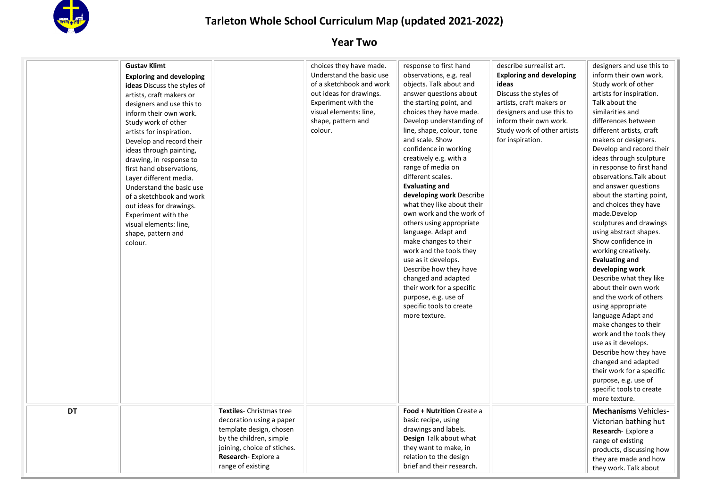

|           | <b>Gustav Klimt</b>                |                             | choices they have made.<br>Understand the basic use | response to first hand<br>observations, e.g. real | describe surrealist art.<br><b>Exploring and developing</b> | designers and use this to<br>inform their own work. |
|-----------|------------------------------------|-----------------------------|-----------------------------------------------------|---------------------------------------------------|-------------------------------------------------------------|-----------------------------------------------------|
|           | <b>Exploring and developing</b>    |                             | of a sketchbook and work                            | objects. Talk about and                           | ideas                                                       | Study work of other                                 |
|           | <b>ideas</b> Discuss the styles of |                             |                                                     |                                                   |                                                             |                                                     |
|           | artists, craft makers or           |                             | out ideas for drawings.                             | answer questions about                            | Discuss the styles of                                       | artists for inspiration.                            |
|           | designers and use this to          |                             | Experiment with the                                 | the starting point, and                           | artists, craft makers or                                    | Talk about the                                      |
|           | inform their own work.             |                             | visual elements: line,                              | choices they have made.                           | designers and use this to                                   | similarities and                                    |
|           | Study work of other                |                             | shape, pattern and                                  | Develop understanding of                          | inform their own work.                                      | differences between                                 |
|           | artists for inspiration.           |                             | colour.                                             | line, shape, colour, tone                         | Study work of other artists                                 | different artists, craft                            |
|           | Develop and record their           |                             |                                                     | and scale. Show                                   | for inspiration.                                            | makers or designers.                                |
|           | ideas through painting,            |                             |                                                     | confidence in working                             |                                                             | Develop and record their                            |
|           | drawing, in response to            |                             |                                                     | creatively e.g. with a                            |                                                             | ideas through sculpture                             |
|           | first hand observations,           |                             |                                                     | range of media on                                 |                                                             | in response to first hand                           |
|           | Layer different media.             |                             |                                                     | different scales.                                 |                                                             | observations. Talk about                            |
|           | Understand the basic use           |                             |                                                     | <b>Evaluating and</b>                             |                                                             | and answer questions                                |
|           | of a sketchbook and work           |                             |                                                     | developing work Describe                          |                                                             | about the starting point,                           |
|           | out ideas for drawings.            |                             |                                                     | what they like about their                        |                                                             | and choices they have                               |
|           | Experiment with the                |                             |                                                     | own work and the work of                          |                                                             | made.Develop                                        |
|           | visual elements: line,             |                             |                                                     | others using appropriate                          |                                                             | sculptures and drawings                             |
|           | shape, pattern and                 |                             |                                                     | language. Adapt and                               |                                                             | using abstract shapes.                              |
|           | colour.                            |                             |                                                     | make changes to their                             |                                                             | Show confidence in                                  |
|           |                                    |                             |                                                     | work and the tools they                           |                                                             | working creatively.                                 |
|           |                                    |                             |                                                     | use as it develops.                               |                                                             | <b>Evaluating and</b>                               |
|           |                                    |                             |                                                     | Describe how they have                            |                                                             | developing work                                     |
|           |                                    |                             |                                                     | changed and adapted                               |                                                             | Describe what they like                             |
|           |                                    |                             |                                                     | their work for a specific                         |                                                             | about their own work                                |
|           |                                    |                             |                                                     | purpose, e.g. use of                              |                                                             | and the work of others                              |
|           |                                    |                             |                                                     | specific tools to create                          |                                                             | using appropriate                                   |
|           |                                    |                             |                                                     | more texture.                                     |                                                             | language Adapt and                                  |
|           |                                    |                             |                                                     |                                                   |                                                             | make changes to their                               |
|           |                                    |                             |                                                     |                                                   |                                                             | work and the tools they                             |
|           |                                    |                             |                                                     |                                                   |                                                             | use as it develops.                                 |
|           |                                    |                             |                                                     |                                                   |                                                             | Describe how they have                              |
|           |                                    |                             |                                                     |                                                   |                                                             | changed and adapted                                 |
|           |                                    |                             |                                                     |                                                   |                                                             | their work for a specific                           |
|           |                                    |                             |                                                     |                                                   |                                                             | purpose, e.g. use of                                |
|           |                                    |                             |                                                     |                                                   |                                                             | specific tools to create                            |
|           |                                    |                             |                                                     |                                                   |                                                             | more texture.                                       |
| <b>DT</b> |                                    | Textiles- Christmas tree    |                                                     | Food + Nutrition Create a                         |                                                             | <b>Mechanisms Vehicles-</b>                         |
|           |                                    | decoration using a paper    |                                                     | basic recipe, using                               |                                                             |                                                     |
|           |                                    | template design, chosen     |                                                     | drawings and labels.                              |                                                             | Victorian bathing hut                               |
|           |                                    | by the children, simple     |                                                     | Design Talk about what                            |                                                             | Research-Explore a                                  |
|           |                                    | joining, choice of stiches. |                                                     | they want to make, in                             |                                                             | range of existing                                   |
|           |                                    |                             |                                                     |                                                   |                                                             | products, discussing how                            |
|           |                                    | Research-Explore a          |                                                     | relation to the design                            |                                                             | they are made and how                               |
|           |                                    | range of existing           |                                                     | brief and their research.                         |                                                             | they work. Talk about                               |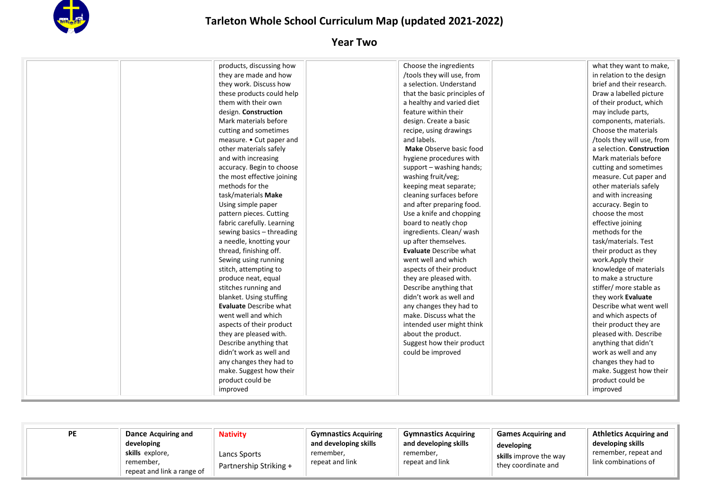

| products, discussing how      | Choose the ingredients        | what they want to make,    |
|-------------------------------|-------------------------------|----------------------------|
| they are made and how         | /tools they will use, from    | in relation to the design  |
| they work. Discuss how        | a selection. Understand       | brief and their research.  |
| these products could help     | that the basic principles of  | Draw a labelled picture    |
| them with their own           | a healthy and varied diet     | of their product, which    |
| design. Construction          | feature within their          | may include parts,         |
| Mark materials before         | design. Create a basic        | components, materials.     |
| cutting and sometimes         | recipe, using drawings        | Choose the materials       |
| measure. • Cut paper and      | and labels.                   | /tools they will use, from |
| other materials safely        | Make Observe basic food       | a selection. Construction  |
| and with increasing           | hygiene procedures with       | Mark materials before      |
| accuracy. Begin to choose     | support - washing hands;      | cutting and sometimes      |
| the most effective joining    | washing fruit/veg;            | measure. Cut paper and     |
| methods for the               | keeping meat separate;        | other materials safely     |
| task/materials Make           | cleaning surfaces before      | and with increasing        |
| Using simple paper            | and after preparing food.     | accuracy. Begin to         |
| pattern pieces. Cutting       | Use a knife and chopping      | choose the most            |
| fabric carefully. Learning    | board to neatly chop          | effective joining          |
| sewing basics - threading     | ingredients. Clean/wash       | methods for the            |
| a needle, knotting your       | up after themselves.          | task/materials. Test       |
| thread, finishing off.        | <b>Evaluate Describe what</b> | their product as they      |
| Sewing using running          | went well and which           | work.Apply their           |
| stitch, attempting to         | aspects of their product      | knowledge of materials     |
| produce neat, equal           | they are pleased with.        | to make a structure        |
| stitches running and          | Describe anything that        | stiffer/ more stable as    |
| blanket. Using stuffing       | didn't work as well and       | they work Evaluate         |
| <b>Evaluate Describe what</b> | any changes they had to       | Describe what went well    |
| went well and which           | make. Discuss what the        | and which aspects of       |
| aspects of their product      | intended user might think     | their product they are     |
| they are pleased with.        | about the product.            | pleased with. Describe     |
| Describe anything that        | Suggest how their product     | anything that didn't       |
| didn't work as well and       | could be improved             | work as well and any       |
| any changes they had to       |                               | changes they had to        |
| make. Suggest how their       |                               | make. Suggest how their    |
| product could be              |                               | product could be           |
| improved                      |                               | improved                   |

| РE<br>Dance Acquiring and<br>developing<br>skills explore,<br>remember.<br>repeat and link a range of | <b>Nativity</b><br>Lancs Sports<br>Partnership Striking + | <b>Gymnastics Acquiring</b><br>and developing skills<br>remember,<br>repeat and link | <b>Gymnastics Acquiring</b><br>and developing skills<br>remember,<br>repeat and link | <b>Games Acquiring and</b><br>developing<br>skills improve the way<br>they coordinate and | <b>Athletics Acquiring and</b><br>developing skills<br>remember, repeat and<br>link combinations of |
|-------------------------------------------------------------------------------------------------------|-----------------------------------------------------------|--------------------------------------------------------------------------------------|--------------------------------------------------------------------------------------|-------------------------------------------------------------------------------------------|-----------------------------------------------------------------------------------------------------|
|-------------------------------------------------------------------------------------------------------|-----------------------------------------------------------|--------------------------------------------------------------------------------------|--------------------------------------------------------------------------------------|-------------------------------------------------------------------------------------------|-----------------------------------------------------------------------------------------------------|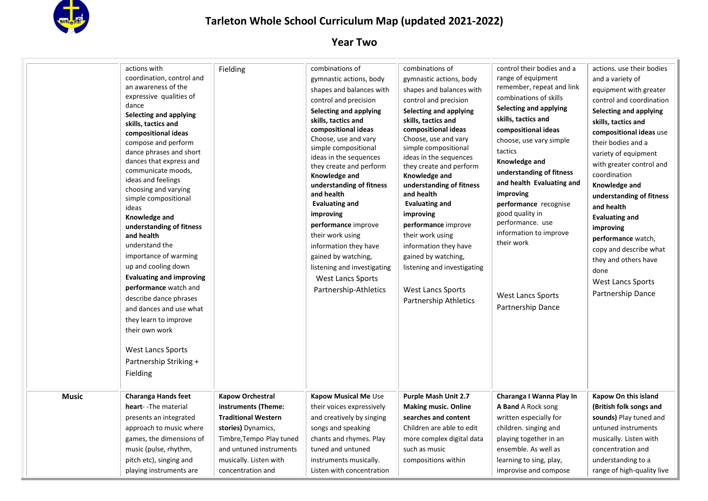

|              | actions with<br>coordination, control and<br>an awareness of the<br>expressive qualities of<br>dance<br><b>Selecting and applying</b><br>skills, tactics and<br>compositional ideas<br>compose and perform<br>dance phrases and short<br>dances that express and<br>communicate moods,<br>ideas and feelings<br>choosing and varying<br>simple compositional<br>ideas<br>Knowledge and<br>understanding of fitness<br>and health<br>understand the<br>importance of warming<br>up and cooling down<br><b>Evaluating and improving</b><br>performance watch and<br>describe dance phrases<br>and dances and use what<br>they learn to improve<br>their own work<br><b>West Lancs Sports</b><br>Partnership Striking + | Fielding                                                                                                                                                                                                 | combinations of<br>gymnastic actions, body<br>shapes and balances with<br>control and precision<br>Selecting and applying<br>skills, tactics and<br>compositional ideas<br>Choose, use and vary<br>simple compositional<br>ideas in the sequences<br>they create and perform<br>Knowledge and<br>understanding of fitness<br>and health<br><b>Evaluating and</b><br>improving<br>performance improve<br>their work using<br>information they have<br>gained by watching,<br>listening and investigating<br>West Lancs Sports<br>Partnership-Athletics | combinations of<br>gymnastic actions, body<br>shapes and balances with<br>control and precision<br>Selecting and applying<br>skills, tactics and<br>compositional ideas<br>Choose, use and vary<br>simple compositional<br>ideas in the sequences<br>they create and perform<br>Knowledge and<br>understanding of fitness<br>and health<br><b>Evaluating and</b><br>improving<br>performance improve<br>their work using<br>information they have<br>gained by watching,<br>listening and investigating<br><b>West Lancs Sports</b><br>Partnership Athletics | control their bodies and a<br>range of equipment<br>remember, repeat and link<br>combinations of skills<br>Selecting and applying<br>skills, tactics and<br>compositional ideas<br>choose, use vary simple<br>tactics<br>Knowledge and<br>understanding of fitness<br>and health Evaluating and<br>improving<br>performance recognise<br>good quality in<br>performance. use<br>information to improve<br>their work<br><b>West Lancs Sports</b><br>Partnership Dance | actions. use their bodies<br>and a variety of<br>equipment with greater<br>control and coordination<br>Selecting and applying<br>skills, tactics and<br>compositional ideas use<br>their bodies and a<br>variety of equipment<br>with greater control and<br>coordination<br>Knowledge and<br>understanding of fitness<br>and health<br><b>Evaluating and</b><br>improving<br>performance watch,<br>copy and describe what<br>they and others have<br>done<br><b>West Lancs Sports</b><br>Partnership Dance |
|--------------|----------------------------------------------------------------------------------------------------------------------------------------------------------------------------------------------------------------------------------------------------------------------------------------------------------------------------------------------------------------------------------------------------------------------------------------------------------------------------------------------------------------------------------------------------------------------------------------------------------------------------------------------------------------------------------------------------------------------|----------------------------------------------------------------------------------------------------------------------------------------------------------------------------------------------------------|-------------------------------------------------------------------------------------------------------------------------------------------------------------------------------------------------------------------------------------------------------------------------------------------------------------------------------------------------------------------------------------------------------------------------------------------------------------------------------------------------------------------------------------------------------|--------------------------------------------------------------------------------------------------------------------------------------------------------------------------------------------------------------------------------------------------------------------------------------------------------------------------------------------------------------------------------------------------------------------------------------------------------------------------------------------------------------------------------------------------------------|-----------------------------------------------------------------------------------------------------------------------------------------------------------------------------------------------------------------------------------------------------------------------------------------------------------------------------------------------------------------------------------------------------------------------------------------------------------------------|-------------------------------------------------------------------------------------------------------------------------------------------------------------------------------------------------------------------------------------------------------------------------------------------------------------------------------------------------------------------------------------------------------------------------------------------------------------------------------------------------------------|
|              | Fielding                                                                                                                                                                                                                                                                                                                                                                                                                                                                                                                                                                                                                                                                                                             |                                                                                                                                                                                                          |                                                                                                                                                                                                                                                                                                                                                                                                                                                                                                                                                       |                                                                                                                                                                                                                                                                                                                                                                                                                                                                                                                                                              |                                                                                                                                                                                                                                                                                                                                                                                                                                                                       |                                                                                                                                                                                                                                                                                                                                                                                                                                                                                                             |
| <b>Music</b> | <b>Charanga Hands feet</b><br>heart--The material<br>presents an integrated<br>approach to music where<br>games, the dimensions of<br>music (pulse, rhythm,<br>pitch etc), singing and<br>playing instruments are                                                                                                                                                                                                                                                                                                                                                                                                                                                                                                    | <b>Kapow Orchestral</b><br>instruments (Theme:<br><b>Traditional Western</b><br>stories) Dynamics,<br>Timbre, Tempo Play tuned<br>and untuned instruments<br>musically. Listen with<br>concentration and | Kapow Musical Me Use<br>their voices expressively<br>and creatively by singing<br>songs and speaking<br>chants and rhymes. Play<br>tuned and untuned<br>instruments musically.<br>Listen with concentration                                                                                                                                                                                                                                                                                                                                           | <b>Purple Mash Unit 2.7</b><br><b>Making music. Online</b><br>searches and content<br>Children are able to edit<br>more complex digital data<br>such as music<br>compositions within                                                                                                                                                                                                                                                                                                                                                                         | Charanga I Wanna Play In<br><b>A Band</b> A Rock song<br>written especially for<br>children. singing and<br>playing together in an<br>ensemble. As well as<br>learning to sing, play,<br>improvise and compose                                                                                                                                                                                                                                                        | Kapow On this island<br>(British folk songs and<br>sounds) Play tuned and<br>untuned instruments<br>musically. Listen with<br>concentration and<br>understanding to a<br>range of high-quality live                                                                                                                                                                                                                                                                                                         |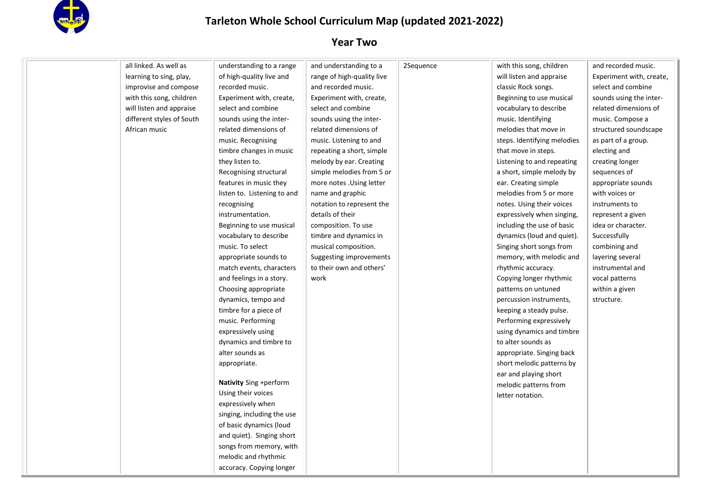

| all linked. As well as    | understanding to a range    | and understanding to a     | 2Sequence | with this song, children    | and recorded music.      |
|---------------------------|-----------------------------|----------------------------|-----------|-----------------------------|--------------------------|
| learning to sing, play,   | of high-quality live and    | range of high-quality live |           | will listen and appraise    | Experiment with, create, |
| improvise and compose     | recorded music.             | and recorded music.        |           | classic Rock songs.         | select and combine       |
| with this song, children  | Experiment with, create,    | Experiment with, create,   |           | Beginning to use musical    | sounds using the inter-  |
| will listen and appraise  | select and combine          | select and combine         |           | vocabulary to describe      | related dimensions of    |
| different styles of South | sounds using the inter-     | sounds using the inter-    |           | music. Identifying          | music. Compose a         |
| African music             | related dimensions of       | related dimensions of      |           | melodies that move in       | structured soundscape    |
|                           | music. Recognising          | music. Listening to and    |           | steps. Identifying melodies | as part of a group.      |
|                           | timbre changes in music     | repeating a short, simple  |           | that move in steps.         | electing and             |
|                           | they listen to.             | melody by ear. Creating    |           | Listening to and repeating  | creating longer          |
|                           | Recognising structural      | simple melodies from 5 or  |           | a short, simple melody by   | sequences of             |
|                           | features in music they      | more notes . Using letter  |           | ear. Creating simple        | appropriate sounds       |
|                           | listen to. Listening to and | name and graphic           |           | melodies from 5 or more     | with voices or           |
|                           | recognising                 | notation to represent the  |           | notes. Using their voices   | instruments to           |
|                           | instrumentation.            | details of their           |           | expressively when singing,  | represent a given        |
|                           | Beginning to use musical    | composition. To use        |           | including the use of basic  | idea or character.       |
|                           | vocabulary to describe      | timbre and dynamics in     |           | dynamics (loud and quiet).  | Successfully             |
|                           | music. To select            | musical composition.       |           | Singing short songs from    | combining and            |
|                           | appropriate sounds to       | Suggesting improvements    |           | memory, with melodic and    | layering several         |
|                           | match events, characters    | to their own and others'   |           | rhythmic accuracy.          | instrumental and         |
|                           | and feelings in a story.    | work                       |           | Copying longer rhythmic     | vocal patterns           |
|                           | Choosing appropriate        |                            |           | patterns on untuned         | within a given           |
|                           | dynamics, tempo and         |                            |           | percussion instruments,     | structure.               |
|                           | timbre for a piece of       |                            |           | keeping a steady pulse.     |                          |
|                           | music. Performing           |                            |           | Performing expressively     |                          |
|                           | expressively using          |                            |           | using dynamics and timbre   |                          |
|                           | dynamics and timbre to      |                            |           | to alter sounds as          |                          |
|                           | alter sounds as             |                            |           | appropriate. Singing back   |                          |
|                           | appropriate.                |                            |           | short melodic patterns by   |                          |
|                           |                             |                            |           | ear and playing short       |                          |
|                           | Nativity Sing +perform      |                            |           | melodic patterns from       |                          |
|                           | Using their voices          |                            |           | letter notation.            |                          |
|                           | expressively when           |                            |           |                             |                          |
|                           | singing, including the use  |                            |           |                             |                          |
|                           | of basic dynamics (loud     |                            |           |                             |                          |
|                           | and quiet). Singing short   |                            |           |                             |                          |
|                           | songs from memory, with     |                            |           |                             |                          |
|                           | melodic and rhythmic        |                            |           |                             |                          |
|                           | accuracy. Copying longer    |                            |           |                             |                          |
|                           |                             |                            |           |                             |                          |